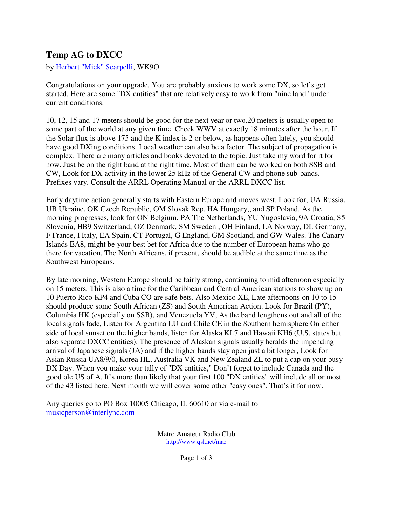## **Temp AG to DXCC**

by [Herbert "Mick" Scarpelli,](mailto:musicperson@interlync.com?subject=The Ham Bandstand (MAC)) WK9O

Congratulations on your upgrade. You are probably anxious to work some DX, so let's get started. Here are some "DX entities" that are relatively easy to work from "nine land" under current conditions.

10, 12, 15 and 17 meters should be good for the next year or two.20 meters is usually open to some part of the world at any given time. Check WWV at exactly 18 minutes after the hour. If the Solar flux is above 175 and the K index is 2 or below, as happens often lately, you should have good DXing conditions. Local weather can also be a factor. The subject of propagation is complex. There are many articles and books devoted to the topic. Just take my word for it for now. Just be on the right band at the right time. Most of them can be worked on both SSB and CW, Look for DX activity in the lower 25 kHz of the General CW and phone sub-bands. Prefixes vary. Consult the ARRL Operating Manual or the ARRL DXCC list.

Early daytime action generally starts with Eastern Europe and moves west. Look for; UA Russia, UB Ukraine, OK Czech Republic, OM Slovak Rep. HA Hungary,, and SP Poland. As the morning progresses, look for ON Belgium, PA The Netherlands, YU Yugoslavia, 9A Croatia, S5 Slovenia, HB9 Switzerland, OZ Denmark, SM Sweden , OH Finland, LA Norway, DL Germany, F France, I Italy, EA Spain, CT Portugal, G England, GM Scotland, and GW Wales. The Canary Islands EA8, might be your best bet for Africa due to the number of European hams who go there for vacation. The North Africans, if present, should be audible at the same time as the Southwest Europeans.

By late morning, Western Europe should be fairly strong, continuing to mid afternoon especially on 15 meters. This is also a time for the Caribbean and Central American stations to show up on 10 Puerto Rico KP4 and Cuba CO are safe bets. Also Mexico XE, Late afternoons on 10 to 15 should produce some South African (ZS) and South American Action. Look for Brazil (PY), Columbia HK (especially on SSB), and Venezuela YV, As the band lengthens out and all of the local signals fade, Listen for Argentina LU and Chile CE in the Southern hemisphere On either side of local sunset on the higher bands, listen for Alaska KL7 and Hawaii KH6 (U.S. states but also separate DXCC entities). The presence of Alaskan signals usually heralds the impending arrival of Japanese signals (JA) and if the higher bands stay open just a bit longer, Look for Asian Russia UA8/9/0, Korea HL, Australia VK and New Zealand ZL to put a cap on your busy DX Day. When you make your tally of "DX entities," Don't forget to include Canada and the good ole US of A. It's more than likely that your first 100 "DX entities" will include all or most of the 43 listed here. Next month we will cover some other "easy ones". That's it for now.

Any queries go to PO Box 10005 Chicago, IL 60610 or via e-mail to [musicperson@interlync.com](mailto:musicperson@interlync.com)

> Metro Amateur Radio Club http://www.qsl.net/mac

> > Page 1 of 3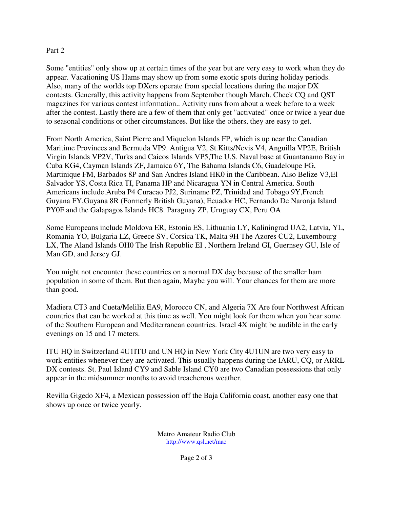## Part 2

Some "entities" only show up at certain times of the year but are very easy to work when they do appear. Vacationing US Hams may show up from some exotic spots during holiday periods. Also, many of the worlds top DXers operate from special locations during the major DX contests. Generally, this activity happens from September though March. Check CQ and QST magazines for various contest information.. Activity runs from about a week before to a week after the contest. Lastly there are a few of them that only get "activated" once or twice a year due to seasonal conditions or other circumstances. But like the others, they are easy to get.

From North America, Saint Pierre and Miquelon Islands FP, which is up near the Canadian Maritime Provinces and Bermuda VP9. Antigua V2, St.Kitts/Nevis V4, Anguilla VP2E, British Virgin Islands VP2V, Turks and Caicos Islands VP5,The U.S. Naval base at Guantanamo Bay in Cuba KG4, Cayman Islands ZF, Jamaica 6Y, The Bahama Islands C6, Guadeloupe FG, Martinique FM, Barbados 8P and San Andres Island HK0 in the Caribbean. Also Belize V3,El Salvador YS, Costa Rica TI, Panama HP and Nicaragua YN in Central America. South Americans include.Aruba P4 Curacao PJ2, Suriname PZ, Trinidad and Tobago 9Y,French Guyana FY,Guyana 8R (Formerly British Guyana), Ecuador HC, Fernando De Naronja Island PY0F and the Galapagos Islands HC8. Paraguay ZP, Uruguay CX, Peru OA

Some Europeans include Moldova ER, Estonia ES, Lithuania LY, Kaliningrad UA2, Latvia, YL, Romania YO, Bulgaria LZ, Greece SV, Corsica TK, Malta 9H The Azores CU2, Luxembourg LX, The Aland Islands OH0 The Irish Republic EI , Northern Ireland GI, Guernsey GU, Isle of Man GD, and Jersey GJ.

You might not encounter these countries on a normal DX day because of the smaller ham population in some of them. But then again, Maybe you will. Your chances for them are more than good.

Madiera CT3 and Cueta/Melilia EA9, Morocco CN, and Algeria 7X Are four Northwest African countries that can be worked at this time as well. You might look for them when you hear some of the Southern European and Mediterranean countries. Israel 4X might be audible in the early evenings on 15 and 17 meters.

ITU HQ in Switzerland 4U1ITU and UN HQ in New York City 4U1UN are two very easy to work entities whenever they are activated. This usually happens during the IARU, CQ, or ARRL DX contests. St. Paul Island CY9 and Sable Island CY0 are two Canadian possessions that only appear in the midsummer months to avoid treacherous weather.

Revilla Gigedo XF4, a Mexican possession off the Baja California coast, another easy one that shows up once or twice yearly.

> Metro Amateur Radio Club http://www.qsl.net/mac

> > Page 2 of 3